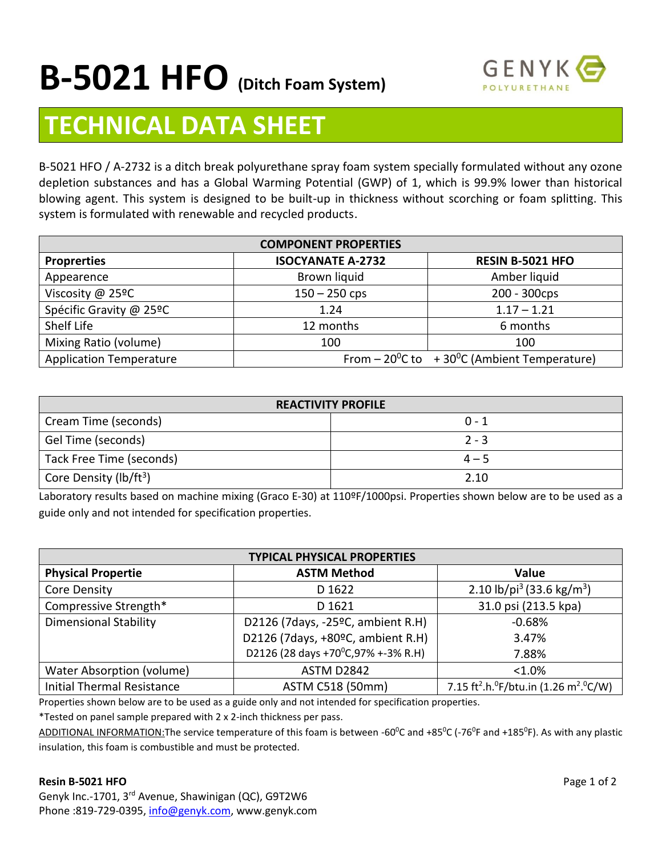

# **TECHNICAL DATA SHEET**

B-5021 HFO / A-2732 is a ditch break polyurethane spray foam system specially formulated without any ozone depletion substances and has a Global Warming Potential (GWP) of 1, which is 99.9% lower than historical blowing agent. This system is designed to be built-up in thickness without scorching or foam splitting. This system is formulated with renewable and recycled products.

| <b>COMPONENT PROPERTIES</b>    |                          |                                                                 |  |
|--------------------------------|--------------------------|-----------------------------------------------------------------|--|
| <b>Proprerties</b>             | <b>ISOCYANATE A-2732</b> | <b>RESIN B-5021 HFO</b>                                         |  |
| Appearence                     | Brown liquid             | Amber liquid                                                    |  |
| Viscosity @ 25ºC               | $150 - 250$ cps          | 200 - 300cps                                                    |  |
| Spécific Gravity @ 25ºC        | 1.24                     | $1.17 - 1.21$                                                   |  |
| Shelf Life                     | 12 months                | 6 months                                                        |  |
| Mixing Ratio (volume)          | 100                      | 100                                                             |  |
| <b>Application Temperature</b> |                          | From $-20^{\circ}$ C to + 30 $^{\circ}$ C (Ambient Temperature) |  |

| <b>REACTIVITY PROFILE</b>          |         |  |  |
|------------------------------------|---------|--|--|
| Cream Time (seconds)               | $0 - 1$ |  |  |
| Gel Time (seconds)                 | $2 - 3$ |  |  |
| Tack Free Time (seconds)           | $4 - 5$ |  |  |
| Core Density (lb/ft <sup>3</sup> ) | 2.10    |  |  |

Laboratory results based on machine mixing (Graco E-30) at 110ºF/1000psi. Properties shown below are to be used as a guide only and not intended for specification properties.

| <b>TYPICAL PHYSICAL PROPERTIES</b> |                                     |                                                                                         |  |
|------------------------------------|-------------------------------------|-----------------------------------------------------------------------------------------|--|
| <b>Physical Propertie</b>          | <b>ASTM Method</b>                  | <b>Value</b>                                                                            |  |
| Core Density                       | D 1622                              | 2.10 lb/pi <sup>3</sup> (33.6 kg/m <sup>3</sup> )                                       |  |
| Compressive Strength*              | D 1621                              | 31.0 psi (213.5 kpa)                                                                    |  |
| <b>Dimensional Stability</b>       | D2126 (7days, -25°C, ambient R.H)   | $-0.68%$                                                                                |  |
|                                    | D2126 (7days, +80°C, ambient R.H)   | 3.47%                                                                                   |  |
|                                    | D2126 (28 days +70°C, 97% +-3% R.H) | 7.88%                                                                                   |  |
| Water Absorption (volume)          | ASTM D2842                          | $< 1.0\%$                                                                               |  |
| <b>Initial Thermal Resistance</b>  | ASTM C518 (50mm)                    | 7.15 ft <sup>2</sup> .h. <sup>0</sup> F/btu.in (1.26 m <sup>2</sup> . <sup>0</sup> C/W) |  |

Properties shown below are to be used as a guide only and not intended for specification properties.

\*Tested on panel sample prepared with 2 x 2-inch thickness per pass.

ADDITIONAL INFORMATION: The service temperature of this foam is between -60<sup>o</sup>C and +85<sup>o</sup>C (-76<sup>o</sup>F and +185<sup>o</sup>F). As with any plastic insulation, this foam is combustible and must be protected.

#### **Resin B-5021 HFO** Page 1 of 2

Genyk Inc.-1701, 3rd Avenue, Shawinigan (QC), G9T2W6 Phone :819-729-0395[, info@genyk.com,](mailto:info@genyk.com) www.genyk.com